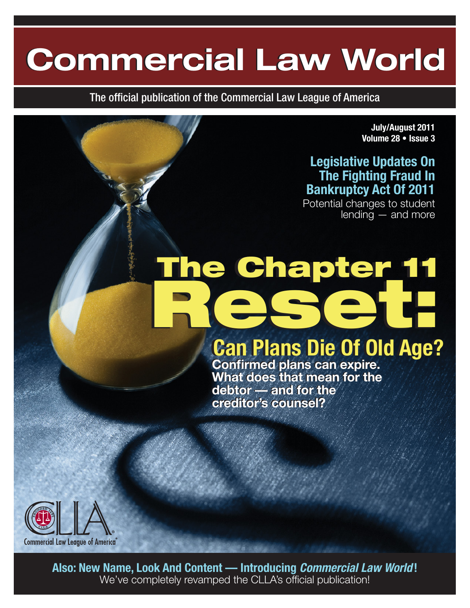## **Commercial Law World Commercial Law World**

The official publication of the Commercial Law League of America

**July/August 2011 Volume 28 • Issue 3**

#### **Legislative Updates On The Fighting Fraud In Bankruptcy Act Of 2011**

Potential changes to student lending — and more

## The Chapter 11 Reset:

**Can Plans Die Of Old Age? Can Plans Die Of Old Age?**

**Confirmed plans can expire. Confirmed plans can expire. What does that mean for the What does that mean for the debtor — and for the debtor — and for the creditor's counsel? creditor's counsel?**



**Also: New Name, Look And Content — Introducing** *Commercial Law World* **!** We've completely revamped the CLLA's official publication!